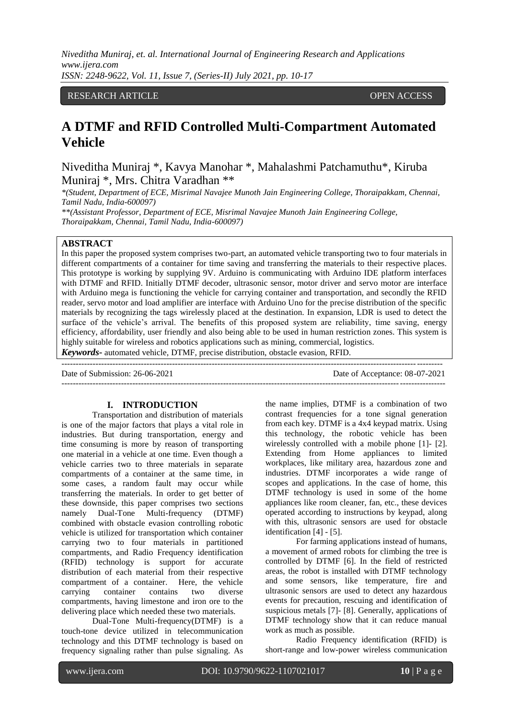# RESEARCH ARTICLE OPEN ACCESS

# **A DTMF and RFID Controlled Multi-Compartment Automated Vehicle**

Niveditha Muniraj \*, Kavya Manohar \*, Mahalashmi Patchamuthu\*, Kiruba Muniraj \*, Mrs. Chitra Varadhan \*\*

*\*(Student, Department of ECE, Misrimal Navajee Munoth Jain Engineering College, Thoraipakkam, Chennai, Tamil Nadu, India-600097)*

*\*\*(Assistant Professor, Department of ECE, Misrimal Navajee Munoth Jain Engineering College, Thoraipakkam, Chennai, Tamil Nadu, India-600097)*

# **ABSTRACT**

In this paper the proposed system comprises two-part, an automated vehicle transporting two to four materials in different compartments of a container for time saving and transferring the materials to their respective places. This prototype is working by supplying 9V. Arduino is communicating with Arduino IDE platform interfaces with DTMF and RFID. Initially DTMF decoder, ultrasonic sensor, motor driver and servo motor are interface with Arduino mega is functioning the vehicle for carrying container and transportation, and secondly the RFID reader, servo motor and load amplifier are interface with Arduino Uno for the precise distribution of the specific materials by recognizing the tags wirelessly placed at the destination. In expansion, LDR is used to detect the surface of the vehicle's arrival. The benefits of this proposed system are reliability, time saving, energy efficiency, affordability, user friendly and also being able to be used in human restriction zones. This system is highly suitable for wireless and robotics applications such as mining, commercial, logistics.

*Keywords***-** automated vehicle, DTMF, precise distribution, obstacle evasion, RFID.

-------------------------------------------------------------------------------------------------------------------------------------- Date of Submission: 26-06-2021 Date of Acceptance: 08-07-2021 ---------------------------------------------------------------------------------------------------------------------------------------

## **I. INTRODUCTION**

Transportation and distribution of materials is one of the major factors that plays a vital role in industries. But during transportation, energy and time consuming is more by reason of transporting one material in a vehicle at one time. Even though a vehicle carries two to three materials in separate compartments of a container at the same time, in some cases, a random fault may occur while transferring the materials. In order to get better of these downside, this paper comprises two sections namely Dual-Tone Multi-frequency (DTMF) combined with obstacle evasion controlling robotic vehicle is utilized for transportation which container carrying two to four materials in partitioned compartments, and Radio Frequency identification (RFID) technology is support for accurate distribution of each material from their respective compartment of a container. Here, the vehicle carrying container contains two diverse compartments, having limestone and iron ore to the delivering place which needed these two materials.

Dual-Tone Multi-frequency(DTMF) is a touch-tone device utilized in telecommunication technology and this DTMF technology is based on frequency signaling rather than pulse signaling. As

the name implies, DTMF is a combination of two contrast frequencies for a tone signal generation from each key. DTMF is a 4x4 keypad matrix. Using this technology, the robotic vehicle has been wirelessly controlled with a mobile phone [1]- [2]. Extending from Home appliances to limited workplaces, like military area, hazardous zone and industries. DTMF incorporates a wide range of scopes and applications. In the case of home, this DTMF technology is used in some of the home appliances like room cleaner, fan, etc., these devices operated according to instructions by keypad, along with this, ultrasonic sensors are used for obstacle identification [4] - [5].

For farming applications instead of humans, a movement of armed robots for climbing the tree is controlled by DTMF [6]. In the field of restricted areas, the robot is installed with DTMF technology and some sensors, like temperature, fire and ultrasonic sensors are used to detect any hazardous events for precaution, rescuing and identification of suspicious metals [7]- [8]. Generally, applications of DTMF technology show that it can reduce manual work as much as possible.

Radio Frequency identification (RFID) is short-range and low-power wireless communication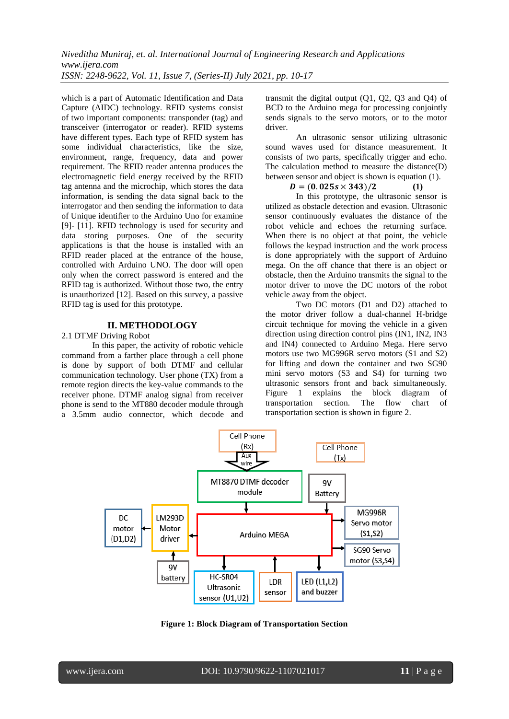which is a part of Automatic Identification and Data Capture (AIDC) technology. RFID systems consist of two important components: transponder (tag) and transceiver (interrogator or reader). RFID systems have different types. Each type of RFID system has some individual characteristics, like the size, environment, range, frequency, data and power requirement. The RFID reader antenna produces the electromagnetic field energy received by the RFID tag antenna and the microchip, which stores the data information, is sending the data signal back to the interrogator and then sending the information to data of Unique identifier to the Arduino Uno for examine [9]- [11]. RFID technology is used for security and data storing purposes. One of the security applications is that the house is installed with an RFID reader placed at the entrance of the house, controlled with Arduino UNO. The door will open only when the correct password is entered and the RFID tag is authorized. Without those two, the entry is unauthorized [12]. Based on this survey, a passive RFID tag is used for this prototype.

#### **II. METHODOLOGY**

### 2.1 DTMF Driving Robot

In this paper, the activity of robotic vehicle command from a farther place through a cell phone is done by support of both DTMF and cellular communication technology. User phone (TX) from a remote region directs the key-value commands to the receiver phone. DTMF analog signal from receiver phone is send to the MT880 decoder module through a 3.5mm audio connector, which decode and

transmit the digital output (Q1, Q2, Q3 and Q4) of BCD to the Arduino mega for processing conjointly sends signals to the servo motors, or to the motor driver.

An ultrasonic sensor utilizing ultrasonic sound waves used for distance measurement. It consists of two parts, specifically trigger and echo. The calculation method to measure the distance(D) between sensor and object is shown is equation (1).

## $D = (0.025s \times 343)/2$  (1)

In this prototype, the ultrasonic sensor is utilized as obstacle detection and evasion. Ultrasonic sensor continuously evaluates the distance of the robot vehicle and echoes the returning surface. When there is no object at that point, the vehicle follows the keypad instruction and the work process is done appropriately with the support of Arduino mega. On the off chance that there is an object or obstacle, then the Arduino transmits the signal to the motor driver to move the DC motors of the robot vehicle away from the object.

Two DC motors (D1 and D2) attached to the motor driver follow a dual-channel H-bridge circuit technique for moving the vehicle in a given direction using direction control pins (IN1, IN2, IN3 and IN4) connected to Arduino Mega. Here servo motors use two MG996R servo motors (S1 and S2) for lifting and down the container and two SG90 mini servo motors (S3 and S4) for turning two ultrasonic sensors front and back simultaneously. Figure 1 explains the block diagram of transportation section. The flow chart of transportation section is shown in figure 2.



**Figure 1: Block Diagram of Transportation Section**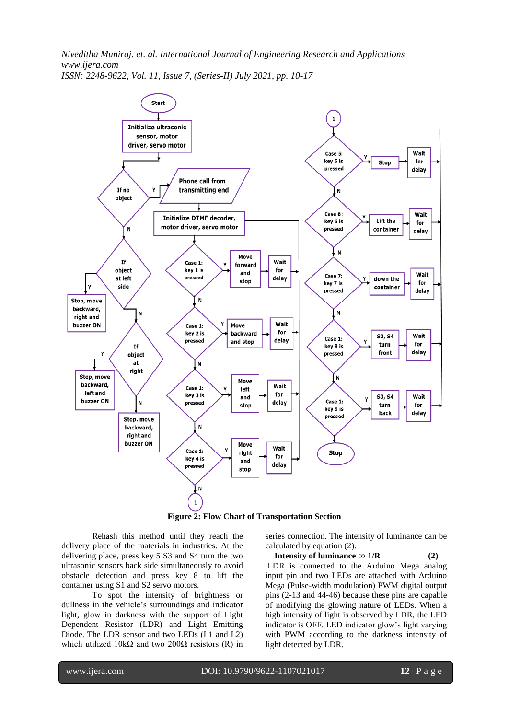

**Figure 2: Flow Chart of Transportation Section**

Rehash this method until they reach the delivery place of the materials in industries. At the delivering place, press key 5 S3 and S4 turn the two ultrasonic sensors back side simultaneously to avoid obstacle detection and press key 8 to lift the container using S1 and S2 servo motors.

To spot the intensity of brightness or dullness in the vehicle's surroundings and indicator light, glow in darkness with the support of Light Dependent Resistor (LDR) and Light Emitting Diode. The LDR sensor and two LEDs (L1 and L2) which utilized  $10kΩ$  and two  $200Ω$  resistors (R) in series connection. The intensity of luminance can be calculated by equation (2).

**Intensity of luminance**  $∞ 1/R$  **(2)** LDR is connected to the Arduino Mega analog input pin and two LEDs are attached with Arduino Mega (Pulse-width modulation) PWM digital output pins (2-13 and 44-46) because these pins are capable of modifying the glowing nature of LEDs. When a high intensity of light is observed by LDR, the LED indicator is OFF. LED indicator glow's light varying with PWM according to the darkness intensity of light detected by LDR.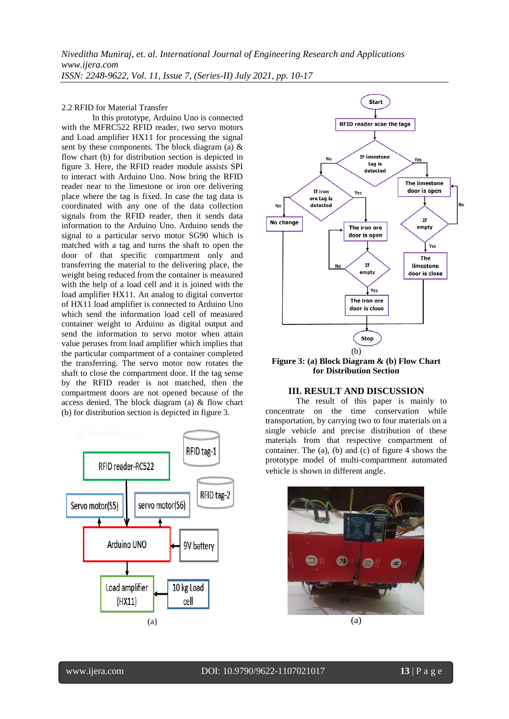#### 2.2 RFID for Material Transfer

In this prototype, Arduino Uno is connected with the MFRC522 RFID reader, two servo motors and Load amplifier HX11 for processing the signal sent by these components. The block diagram (a)  $\&$ flow chart (b) for distribution section is depicted in figure 3. Here, the RFID reader module assists SPI to interact with Arduino Uno. Now bring the RFID reader near to the limestone or iron ore delivering place where the tag is fixed. In case the tag data is coordinated with any one of the data collection signals from the RFID reader, then it sends data information to the Arduino Uno. Arduino sends the signal to a particular servo motor SG90 which is matched with a tag and turns the shaft to open the door of that specific compartment only and transferring the material to the delivering place, the weight being reduced from the container is measured with the help of a load cell and it is joined with the load amplifier HX11. An analog to digital convertor of HX11 load amplifier is connected to Arduino Uno which send the information load cell of measured container weight to Arduino as digital output and send the information to servo motor when attain value peruses from load amplifier which implies that the particular compartment of a container completed the transferring. The servo motor now rotates the shaft to close the compartment door. If the tag sense by the RFID reader is not matched, then the compartment doors are not opened because of the access denied. The block diagram (a) & flow chart (b) for distribution section is depicted in figure 3.





**for Distribution Section**

## **III. RESULT AND DISCUSSION**

The result of this paper is mainly to concentrate on the time conservation while transportation, by carrying two to four materials on a single vehicle and precise distribution of these materials from that respective compartment of container. The  $(a)$ ,  $(b)$  and  $(c)$  of figure 4 shows the prototype model of multi-compartment automated vehicle is shown in different angle.

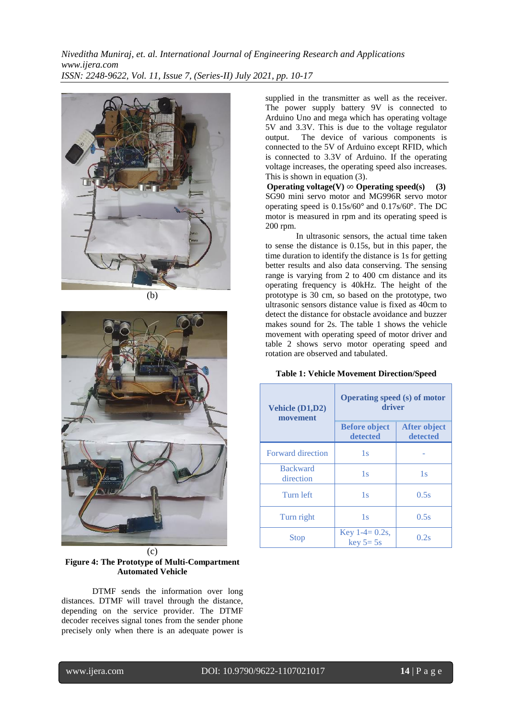

(b)



(c) **Figure 4: The Prototype of Multi-Compartment Automated Vehicle**

DTMF sends the information over long distances. DTMF will travel through the distance, depending on the service provider. The DTMF decoder receives signal tones from the sender phone precisely only when there is an adequate power is

supplied in the transmitter as well as the receiver. The power supply battery 9V is connected to Arduino Uno and mega which has operating voltage 5V and 3.3V. This is due to the voltage regulator output. The device of various components is connected to the 5V of Arduino except RFID, which is connected to 3.3V of Arduino. If the operating voltage increases, the operating speed also increases. This is shown in equation (3).

**Operating voltage(V)**  $\infty$  **Operating speed(s)** (3) SG90 mini servo motor and MG996R servo motor operating speed is 0.15s/60° and 0.17s/60°. The DC motor is measured in rpm and its operating speed is 200 rpm.

In ultrasonic sensors, the actual time taken to sense the distance is 0.15s, but in this paper, the time duration to identify the distance is 1s for getting better results and also data conserving. The sensing range is varying from 2 to 400 cm distance and its operating frequency is 40kHz. The height of the prototype is 30 cm, so based on the prototype, two ultrasonic sensors distance value is fixed as 40cm to detect the distance for obstacle avoidance and buzzer makes sound for 2s. The table 1 shows the vehicle movement with operating speed of motor driver and table 2 shows servo motor operating speed and rotation are observed and tabulated.

|  |  | <b>Table 1: Vehicle Movement Direction/Speed</b> |  |  |
|--|--|--------------------------------------------------|--|--|
|--|--|--------------------------------------------------|--|--|

| Vehicle (D1,D2)<br>movement  | <b>Operating speed (s) of motor</b><br>driver |                                 |  |  |
|------------------------------|-----------------------------------------------|---------------------------------|--|--|
|                              | <b>Before object</b><br>detected              | <b>After object</b><br>detected |  |  |
| <b>Forward direction</b>     | 1s                                            |                                 |  |  |
| <b>Backward</b><br>direction | 1s                                            | 1s                              |  |  |
| Turn left                    | 1s                                            | 0.5s                            |  |  |
| Turn right                   | 1s                                            | 0.5s                            |  |  |
| <b>Stop</b>                  | Key $1-4=0.2s$ ,<br>$key 5 = 5s$              | 0.2s                            |  |  |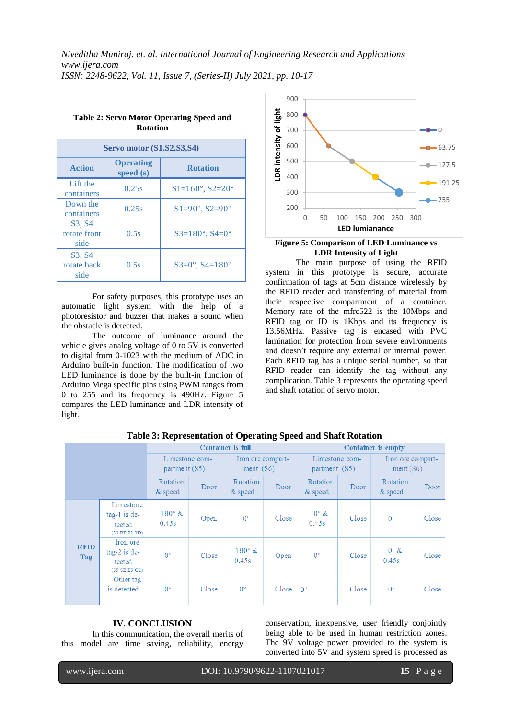| <b>Servo motor (S1, S2, S3, S4)</b> |                                 |                                    |  |  |  |
|-------------------------------------|---------------------------------|------------------------------------|--|--|--|
| <b>Action</b>                       | <b>Operating</b><br>speed $(s)$ | <b>Rotation</b>                    |  |  |  |
| Lift the<br>containers              | 0.25s                           | $S1 = 160^\circ$ , $S2 = 20^\circ$ |  |  |  |
| Down the<br>containers              | 0.25s                           | $S1 = 90^\circ, S2 = 90^\circ$     |  |  |  |
| S3, S4<br>rotate front<br>side      | 0.5s                            | $S3 = 180^\circ$ , $S4 = 0^\circ$  |  |  |  |
| S3, S4<br>rotate back<br>side       | 0.5s                            | $S3=0^\circ$ , $S4=180^\circ$      |  |  |  |

## **Table 2: Servo Motor Operating Speed and Rotation**

For safety purposes, this prototype uses an automatic light system with the help of a photoresistor and buzzer that makes a sound when the obstacle is detected.

The outcome of luminance around the vehicle gives analog voltage of 0 to 5V is converted to digital from 0-1023 with the medium of ADC in Arduino built-in function. The modification of two LED luminance is done by the built-in function of Arduino Mega specific pins using PWM ranges from 0 to 255 and its frequency is 490Hz. Figure 5 compares the LED luminance and LDR intensity of light.



### **Figure 5: Comparison of LED Luminance vs LDR Intensity of Light**

The main purpose of using the RFID system in this prototype is secure, accurate confirmation of tags at 5cm distance wirelessly by the RFID reader and transferring of material from their respective compartment of a container. Memory rate of the mfrc522 is the 10Mbps and RFID tag or ID is 1Kbps and its frequency is 13.56MHz. Passive tag is encased with PVC lamination for protection from severe environments and doesn't require any external or internal power. Each RFID tag has a unique serial number, so that RFID reader can identify the tag without any complication. Table 3 represents the operating speed and shaft rotation of servo motor.

|                    |                                                        | <b>Container is full</b>        |       |                                  | <b>Container is empty</b> |                                 |       |                               |       |
|--------------------|--------------------------------------------------------|---------------------------------|-------|----------------------------------|---------------------------|---------------------------------|-------|-------------------------------|-------|
|                    |                                                        | Limestone com-<br>partment (S5) |       | Iron ore compart-<br>ment $(S6)$ |                           | Limestone com-<br>partment (S5) |       | Iron ore compart-<br>ment(S6) |       |
|                    |                                                        | Rotation<br>& speed             | Door  | <b>Rotation</b><br>& speed       | Door                      | Rotation<br>$&$ speed           | Door  | Rotation<br>& speed           | Door  |
| <b>RFID</b><br>Tag | Limestone<br>$tag-1$ is de-<br>tected<br>(33 BF 72 3D) | $180^\circ \&$<br>0.45s         | Open  | $0^{\circ}$                      | Close                     | $0^\circ \&$<br>0.45s           | Close | $0^{\circ}$                   | Close |
|                    | Iron ore<br>$tag-2$ is de-<br>tected<br>(39 8E E3 C2)  | $0^{\circ}$                     | Close | $180^\circ \&$<br>0.45s          | Open                      | $0^{\circ}$                     | Close | $0^{\circ}$ &<br>0.45s        | Close |
|                    | Other tag<br>is detected                               | $0^{\circ}$                     | Close | $0^{\circ}$                      | Close                     | $0^{\circ}$                     | Close | $0^{\circ}$                   | Close |

# **Table 3: Representation of Operating Speed and Shaft Rotation**

# **IV. CONCLUSION**

In this communication, the overall merits of this model are time saving, reliability, energy

conservation, inexpensive, user friendly conjointly being able to be used in human restriction zones. The 9V voltage power provided to the system is converted into 5V and system speed is processed as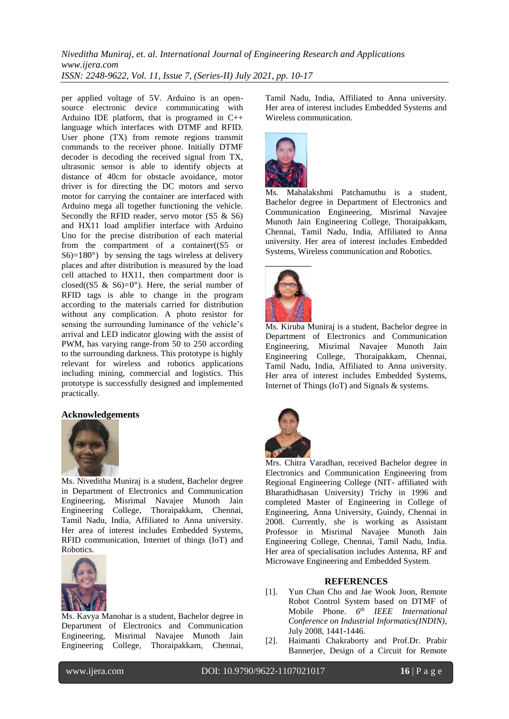per applied voltage of 5V. Arduino is an opensource electronic device communicating with Arduino IDE platform, that is programed in C++ language which interfaces with DTMF and RFID. User phone (TX) from remote regions transmit commands to the receiver phone. Initially DTMF decoder is decoding the received signal from TX, ultrasonic sensor is able to identify objects at distance of 40cm for obstacle avoidance, motor driver is for directing the DC motors and servo motor for carrying the container are interfaced with Arduino mega all together functioning the vehicle. Secondly the RFID reader, servo motor (S5 & S6) and HX11 load amplifier interface with Arduino Uno for the precise distribution of each material from the compartment of a container((S5 or S6)=180°) by sensing the tags wireless at delivery places and after distribution is measured by the load cell attached to HX11, then compartment door is closed( $(S5 \& S6)=0^{\circ}$ ). Here, the serial number of RFID tags is able to change in the program according to the materials carried for distribution without any complication. A photo resistor for sensing the surrounding luminance of the vehicle's arrival and LED indicator glowing with the assist of PWM, has varying range-from 50 to 250 according to the surrounding darkness. This prototype is highly relevant for wireless and robotics applications including mining, commercial and logistics. This prototype is successfully designed and implemented practically.

## **Acknowledgements**



Ms. Niveditha Muniraj is a student, Bachelor degree in Department of Electronics and Communication Engineering, Misrimal Navajee Munoth Jain Engineering College, Thoraipakkam, Chennai, Tamil Nadu, India, Affiliated to Anna university. Her area of interest includes Embedded Systems, RFID communication, Internet of things (IoT) and Robotics.



Ms. Kavya Manohar is a student, Bachelor degree in Department of Electronics and Communication Engineering, Misrimal Navajee Munoth Jain Engineering College, Thoraipakkam, Chennai,

Tamil Nadu, India, Affiliated to Anna university. Her area of interest includes Embedded Systems and Wireless communication.



Ms. Mahalakshmi Patchamuthu is a student, Bachelor degree in Department of Electronics and Communication Engineering, Misrimal Navajee Munoth Jain Engineering College, Thoraipakkam, Chennai, Tamil Nadu, India, Affiliated to Anna university. Her area of interest includes Embedded Systems, Wireless communication and Robotics.



Ms. Kiruba Muniraj is a student, Bachelor degree in Department of Electronics and Communication Engineering, Misrimal Navajee Munoth Jain Engineering College, Thoraipakkam, Chennai, Tamil Nadu, India, Affiliated to Anna university. Her area of interest includes Embedded Systems, Internet of Things (IoT) and Signals & systems.



Mrs. Chitra Varadhan, received Bachelor degree in Electronics and Communication Engineering from Regional Engineering College (NIT- affiliated with Bharathidhasan University) Trichy in 1996 and completed Master of Engineering in College of Engineering, Anna University, Guindy, Chennai in 2008. Currently, she is working as Assistant Professor in Misrimal Navajee Munoth Jain Engineering College, Chennai, Tamil Nadu, India. Her area of specialisation includes Antenna, RF and Microwave Engineering and Embedded System.

#### **REFERENCES**

- [1]. Yun Chan Cho and Jae Wook Joon, Remote Robot Control System based on DTMF of Mobile Phone. *6 th IEEE International Conference on Industrial Informatics(INDIN)*, July 2008, 1441-1446.
- [2]. Haimanti Chakraborty and Prof.Dr. Prabir Bannerjee, Design of a Circuit for Remote